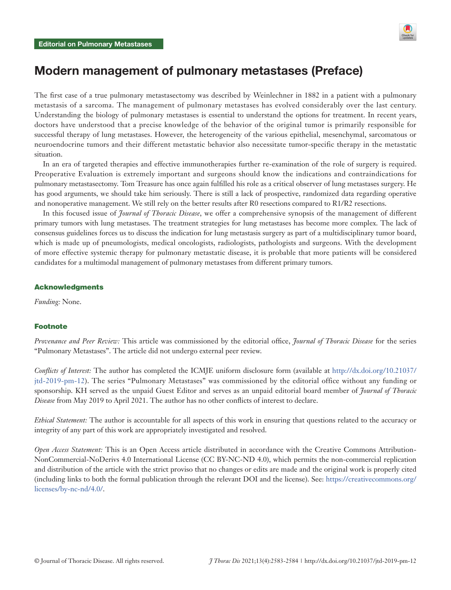

## Modern management of pulmonary metastases (Preface)

The first case of a true pulmonary metastasectomy was described by Weinlechner in 1882 in a patient with a pulmonary metastasis of a sarcoma. The management of pulmonary metastases has evolved considerably over the last century. Understanding the biology of pulmonary metastases is essential to understand the options for treatment. In recent years, doctors have understood that a precise knowledge of the behavior of the original tumor is primarily responsible for successful therapy of lung metastases. However, the heterogeneity of the various epithelial, mesenchymal, sarcomatous or neuroendocrine tumors and their different metastatic behavior also necessitate tumor-specific therapy in the metastatic situation.

In an era of targeted therapies and effective immunotherapies further re-examination of the role of surgery is required. Preoperative Evaluation is extremely important and surgeons should know the indications and contraindications for pulmonary metastasectomy. Tom Treasure has once again fulfilled his role as a critical observer of lung metastases surgery. He has good arguments, we should take him seriously. There is still a lack of prospective, randomized data regarding operative and nonoperative management. We still rely on the better results after R0 resections compared to R1/R2 resections.

In this focused issue of *Journal of Thoracic Disease*, we offer a comprehensive synopsis of the management of different primary tumors with lung metastases. The treatment strategies for lung metastases has become more complex. The lack of consensus guidelines forces us to discuss the indication for lung metastasis surgery as part of a multidisciplinary tumor board, which is made up of pneumologists, medical oncologists, radiologists, pathologists and surgeons. With the development of more effective systemic therapy for pulmonary metastatic disease, it is probable that more patients will be considered candidates for a multimodal management of pulmonary metastases from different primary tumors.

## Acknowledgments

*Funding:* None.

## Footnote

*Provenance and Peer Review:* This article was commissioned by the editorial office, *Journal of Thoracic Disease* for the series "Pulmonary Metastases". The article did not undergo external peer review.

*Conflicts of Interest:* The author has completed the ICMJE uniform disclosure form (available at [http://dx.doi.org/10.21037/](http://dx.doi.org/10.21037/jtd-2019-pm-12) [jtd-2019-pm-12\)](http://dx.doi.org/10.21037/jtd-2019-pm-12). The series "Pulmonary Metastases" was commissioned by the editorial office without any funding or sponsorship. KH served as the unpaid Guest Editor and serves as an unpaid editorial board member of *Journal of Thoracic Disease* from May 2019 to April 2021. The author has no other conflicts of interest to declare.

*Ethical Statement:* The author is accountable for all aspects of this work in ensuring that questions related to the accuracy or integrity of any part of this work are appropriately investigated and resolved.

*Open Access Statement:* This is an Open Access article distributed in accordance with the Creative Commons Attribution-NonCommercial-NoDerivs 4.0 International License (CC BY-NC-ND 4.0), which permits the non-commercial replication and distribution of the article with the strict proviso that no changes or edits are made and the original work is properly cited (including links to both the formal publication through the relevant DOI and the license). See: [https://creativecommons.org/](https://creativecommons.org/licenses/by-nc-nd/4.0/) [licenses/by-nc-nd/4.0/.](https://creativecommons.org/licenses/by-nc-nd/4.0/)